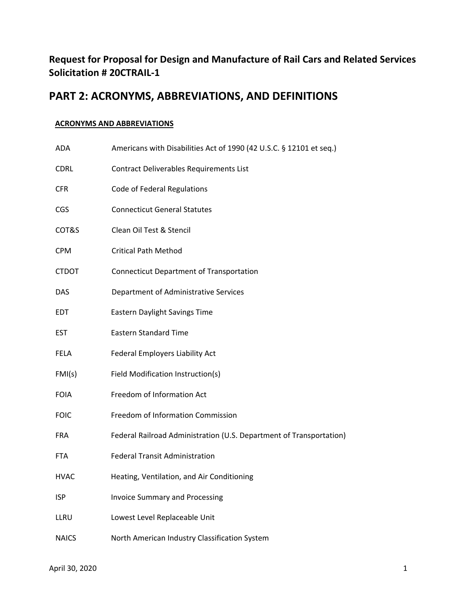## **Request for Proposal for Design and Manufacture of Rail Cars and Related Services Solicitation # 20CTRAIL‐1**

## **PART 2: ACRONYMS, ABBREVIATIONS, AND DEFINITIONS**

## **ACRONYMS AND ABBREVIATIONS**

| ADA          | Americans with Disabilities Act of 1990 (42 U.S.C. § 12101 et seq.) |
|--------------|---------------------------------------------------------------------|
| <b>CDRL</b>  | Contract Deliverables Requirements List                             |
| <b>CFR</b>   | <b>Code of Federal Regulations</b>                                  |
| <b>CGS</b>   | <b>Connecticut General Statutes</b>                                 |
| COT&S        | Clean Oil Test & Stencil                                            |
| <b>CPM</b>   | <b>Critical Path Method</b>                                         |
| <b>CTDOT</b> | <b>Connecticut Department of Transportation</b>                     |
| <b>DAS</b>   | Department of Administrative Services                               |
| EDT          | Eastern Daylight Savings Time                                       |
| <b>EST</b>   | <b>Eastern Standard Time</b>                                        |
| <b>FELA</b>  | Federal Employers Liability Act                                     |
| FMI(s)       | Field Modification Instruction(s)                                   |
| <b>FOIA</b>  | Freedom of Information Act                                          |
| <b>FOIC</b>  | Freedom of Information Commission                                   |
| <b>FRA</b>   | Federal Railroad Administration (U.S. Department of Transportation) |
| <b>FTA</b>   | <b>Federal Transit Administration</b>                               |
| <b>HVAC</b>  | Heating, Ventilation, and Air Conditioning                          |
| <b>ISP</b>   | <b>Invoice Summary and Processing</b>                               |
| LLRU         | Lowest Level Replaceable Unit                                       |
| <b>NAICS</b> | North American Industry Classification System                       |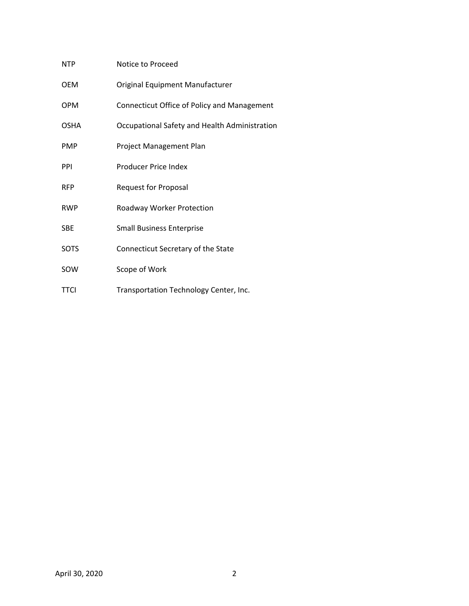| <b>NTP</b>  | Notice to Proceed                             |
|-------------|-----------------------------------------------|
| <b>OEM</b>  | Original Equipment Manufacturer               |
| <b>OPM</b>  | Connecticut Office of Policy and Management   |
| <b>OSHA</b> | Occupational Safety and Health Administration |
| <b>PMP</b>  | Project Management Plan                       |
| PPI         | Producer Price Index                          |
| <b>RFP</b>  | <b>Request for Proposal</b>                   |
| <b>RWP</b>  | Roadway Worker Protection                     |
| <b>SBE</b>  | <b>Small Business Enterprise</b>              |
| <b>SOTS</b> | Connecticut Secretary of the State            |
| SOW         | Scope of Work                                 |
| <b>TTCI</b> | Transportation Technology Center, Inc.        |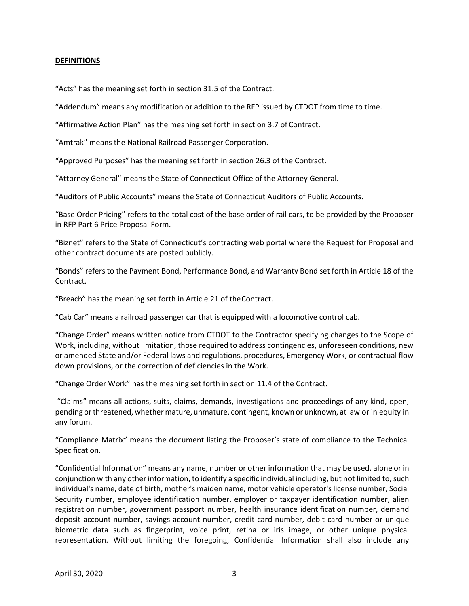## **DEFINITIONS**

"Acts" has the meaning set forth in section 31.5 of the Contract.

"Addendum" means any modification or addition to the RFP issued by CTDOT from time to time.

"Affirmative Action Plan" has the meaning set forth in section 3.7 of Contract.

"Amtrak" means the National Railroad Passenger Corporation.

"Approved Purposes" has the meaning set forth in section 26.3 of the Contract.

"Attorney General" means the State of Connecticut Office of the Attorney General.

"Auditors of Public Accounts" means the State of Connecticut Auditors of Public Accounts.

"Base Order Pricing" refers to the total cost of the base order of rail cars, to be provided by the Proposer in RFP Part 6 Price Proposal Form.

"Biznet" refers to the State of Connecticut's contracting web portal where the Request for Proposal and other contract documents are posted publicly.

"Bonds" refers to the Payment Bond, Performance Bond, and Warranty Bond set forth in Article 18 of the Contract.

"Breach" has the meaning set forth in Article 21 of the Contract.

"Cab Car" means a railroad passenger car that is equipped with a locomotive control cab.

"Change Order" means written notice from CTDOT to the Contractor specifying changes to the Scope of Work, including, without limitation, those required to address contingencies, unforeseen conditions, new or amended State and/or Federal laws and regulations, procedures, Emergency Work, or contractual flow down provisions, or the correction of deficiencies in the Work.

"Change Order Work" has the meaning set forth in section 11.4 of the Contract.

 "Claims" means all actions, suits, claims, demands, investigations and proceedings of any kind, open, pending or threatened, whether mature, unmature, contingent, known or unknown, at law or in equity in any forum.

"Compliance Matrix" means the document listing the Proposer's state of compliance to the Technical Specification.

"Confidential Information" means any name, number or other information that may be used, alone or in conjunction with any other information, to identify a specific individual including, but not limited to, such individual's name, date of birth, mother's maiden name, motor vehicle operator's license number, Social Security number, employee identification number, employer or taxpayer identification number, alien registration number, government passport number, health insurance identification number, demand deposit account number, savings account number, credit card number, debit card number or unique biometric data such as fingerprint, voice print, retina or iris image, or other unique physical representation. Without limiting the foregoing, Confidential Information shall also include any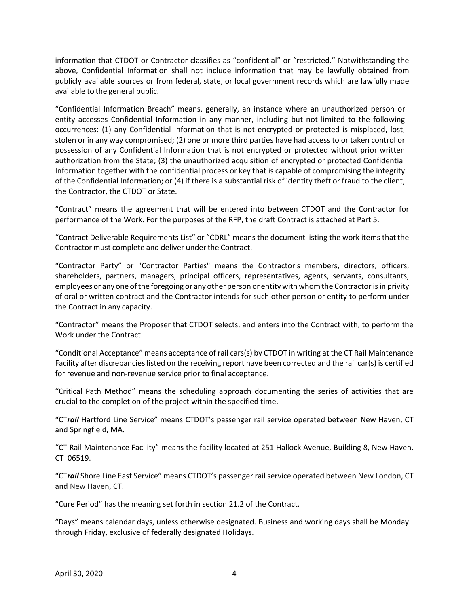information that CTDOT or Contractor classifies as "confidential" or "restricted." Notwithstanding the above, Confidential Information shall not include information that may be lawfully obtained from publicly available sources or from federal, state, or local government records which are lawfully made available to the general public.

"Confidential Information Breach" means, generally, an instance where an unauthorized person or entity accesses Confidential Information in any manner, including but not limited to the following occurrences: (1) any Confidential Information that is not encrypted or protected is misplaced, lost, stolen or in any way compromised; (2) one or more third parties have had access to or taken control or possession of any Confidential Information that is not encrypted or protected without prior written authorization from the State; (3) the unauthorized acquisition of encrypted or protected Confidential Information together with the confidential process or key that is capable of compromising the integrity of the Confidential Information; or (4) if there is a substantial risk of identity theft or fraud to the client, the Contractor, the CTDOT or State.

"Contract" means the agreement that will be entered into between CTDOT and the Contractor for performance of the Work. For the purposes of the RFP, the draft Contract is attached at Part 5.

"Contract Deliverable Requirements List" or "CDRL" means the document listing the work items that the Contractor must complete and deliver under the Contract.

"Contractor Party" or "Contractor Parties" means the Contractor's members, directors, officers, shareholders, partners, managers, principal officers, representatives, agents, servants, consultants, employees or any one of the foregoing or any other person or entity with whom the Contractor is in privity of oral or written contract and the Contractor intends for such other person or entity to perform under the Contract in any capacity.

"Contractor" means the Proposer that CTDOT selects, and enters into the Contract with, to perform the Work under the Contract.

"Conditional Acceptance" means acceptance of rail cars(s) by CTDOT in writing at the CT Rail Maintenance Facility after discrepancies listed on the receiving report have been corrected and the rail car(s) is certified for revenue and non‐revenue service prior to final acceptance.

"Critical Path Method" means the scheduling approach documenting the series of activities that are crucial to the completion of the project within the specified time.

"CT*rail* Hartford Line Service" means CTDOT's passenger rail service operated between New Haven, CT and Springfield, MA.

"CT Rail Maintenance Facility" means the facility located at 251 Hallock Avenue, Building 8, New Haven, CT 06519.

"CT*rail* Shore Line East Service" means CTDOT's passenger rail service operated between New London, CT and New Haven, CT.

"Cure Period" has the meaning set forth in section 21.2 of the Contract.

"Days" means calendar days, unless otherwise designated. Business and working days shall be Monday through Friday, exclusive of federally designated Holidays.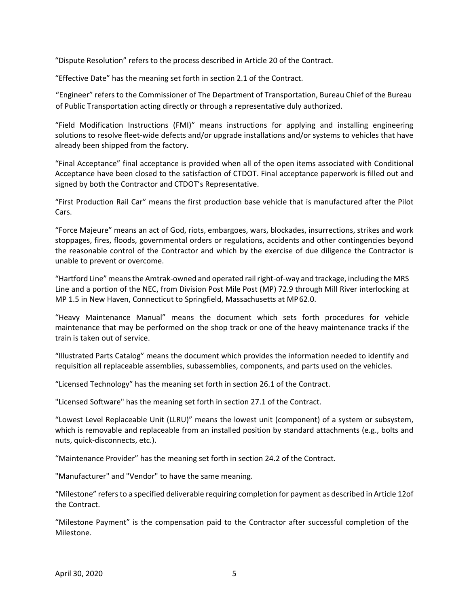"Dispute Resolution" refers to the process described in Article 20 of the Contract.

"Effective Date" has the meaning set forth in section 2.1 of the Contract.

"Engineer" refers to the Commissioner of The Department of Transportation, Bureau Chief of the Bureau of Public Transportation acting directly or through a representative duly authorized.

"Field Modification Instructions (FMI)" means instructions for applying and installing engineering solutions to resolve fleet-wide defects and/or upgrade installations and/or systems to vehicles that have already been shipped from the factory.

"Final Acceptance" final acceptance is provided when all of the open items associated with Conditional Acceptance have been closed to the satisfaction of CTDOT. Final acceptance paperwork is filled out and signed by both the Contractor and CTDOT's Representative.

"First Production Rail Car" means the first production base vehicle that is manufactured after the Pilot Cars.

"Force Majeure" means an act of God, riots, embargoes, wars, blockades, insurrections, strikes and work stoppages, fires, floods, governmental orders or regulations, accidents and other contingencies beyond the reasonable control of the Contractor and which by the exercise of due diligence the Contractor is unable to prevent or overcome.

"Hartford Line" means the Amtrak‐owned and operated rail right‐of‐way and trackage, including the MRS Line and a portion of the NEC, from Division Post Mile Post (MP) 72.9 through Mill River interlocking at MP 1.5 in New Haven, Connecticut to Springfield, Massachusetts at MP 62.0.

"Heavy Maintenance Manual" means the document which sets forth procedures for vehicle maintenance that may be performed on the shop track or one of the heavy maintenance tracks if the train is taken out of service.

"Illustrated Parts Catalog" means the document which provides the information needed to identify and requisition all replaceable assemblies, subassemblies, components, and parts used on the vehicles.

"Licensed Technology" has the meaning set forth in section 26.1 of the Contract.

"Licensed Software" has the meaning set forth in section 27.1 of the Contract.

"Lowest Level Replaceable Unit (LLRU)" means the lowest unit (component) of a system or subsystem, which is removable and replaceable from an installed position by standard attachments (e.g., bolts and nuts, quick‐disconnects, etc.).

"Maintenance Provider" has the meaning set forth in section 24.2 of the Contract.

"Manufacturer" and "Vendor" to have the same meaning.

"Milestone" refers to a specified deliverable requiring completion for payment as described in Article 12of the Contract.

"Milestone Payment" is the compensation paid to the Contractor after successful completion of the Milestone.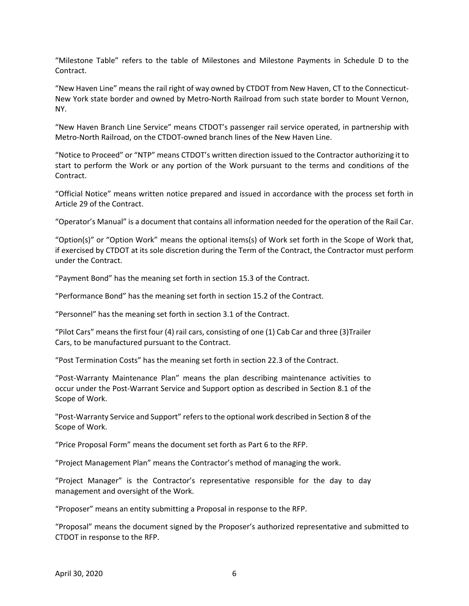"Milestone Table" refers to the table of Milestones and Milestone Payments in Schedule D to the Contract.

"New Haven Line" means the rail right of way owned by CTDOT from New Haven, CT to the Connecticut‐ New York state border and owned by Metro‐North Railroad from such state border to Mount Vernon, NY.

"New Haven Branch Line Service" means CTDOT's passenger rail service operated, in partnership with Metro‐North Railroad, on the CTDOT‐owned branch lines of the New Haven Line.

"Notice to Proceed" or "NTP" means CTDOT's written direction issued to the Contractor authorizing it to start to perform the Work or any portion of the Work pursuant to the terms and conditions of the Contract.

"Official Notice" means written notice prepared and issued in accordance with the process set forth in Article 29 of the Contract.

"Operator's Manual" is a document that contains all information needed for the operation of the Rail Car.

"Option(s)" or "Option Work" means the optional items(s) of Work set forth in the Scope of Work that, if exercised by CTDOT at its sole discretion during the Term of the Contract, the Contractor must perform under the Contract.

"Payment Bond" has the meaning set forth in section 15.3 of the Contract.

"Performance Bond" has the meaning set forth in section 15.2 of the Contract.

"Personnel" has the meaning set forth in section 3.1 of the Contract.

"Pilot Cars" means the first four (4) rail cars, consisting of one (1) Cab Car and three (3)Trailer Cars, to be manufactured pursuant to the Contract.

"Post Termination Costs" has the meaning set forth in section 22.3 of the Contract.

"Post‐Warranty Maintenance Plan" means the plan describing maintenance activities to occur under the Post‐Warrant Service and Support option as described in Section 8.1 of the Scope of Work.

"Post‐Warranty Service and Support" refers to the optional work described in Section 8 of the Scope of Work.

"Price Proposal Form" means the document set forth as Part 6 to the RFP.

"Project Management Plan" means the Contractor's method of managing the work.

"Project Manager" is the Contractor's representative responsible for the day to day management and oversight of the Work.

"Proposer" means an entity submitting a Proposal in response to the RFP.

"Proposal" means the document signed by the Proposer's authorized representative and submitted to CTDOT in response to the RFP.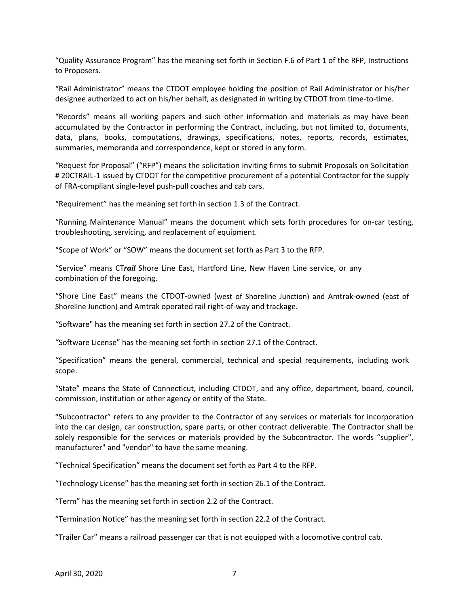"Quality Assurance Program" has the meaning set forth in Section F.6 of Part 1 of the RFP, Instructions to Proposers.

"Rail Administrator" means the CTDOT employee holding the position of Rail Administrator or his/her designee authorized to act on his/her behalf, as designated in writing by CTDOT from time‐to‐time.

"Records" means all working papers and such other information and materials as may have been accumulated by the Contractor in performing the Contract, including, but not limited to, documents, data, plans, books, computations, drawings, specifications, notes, reports, records, estimates, summaries, memoranda and correspondence, kept or stored in any form.

"Request for Proposal" ("RFP") means the solicitation inviting firms to submit Proposals on Solicitation # 20CTRAIL‐1 issued by CTDOT for the competitive procurement of a potential Contractor for the supply of FRA‐compliant single‐level push‐pull coaches and cab cars.

"Requirement" has the meaning set forth in section 1.3 of the Contract.

"Running Maintenance Manual" means the document which sets forth procedures for on‐car testing, troubleshooting, servicing, and replacement of equipment.

"Scope of Work" or "SOW" means the document set forth as Part 3 to the RFP.

"Service" means CT*rail*  Shore Line East, Hartford Line, New Haven Line service, or any combination of the foregoing.

"Shore Line East" means the CTDOT‐owned (west of Shoreline Junction) and Amtrak‐owned (east of Shoreline Junction) and Amtrak operated rail right‐of‐way and trackage.

"Software" has the meaning set forth in section 27.2 of the Contract.

"Software License" has the meaning set forth in section 27.1 of the Contract.

"Specification" means the general, commercial, technical and special requirements, including work scope.

"State" means the State of Connecticut, including CTDOT, and any office, department, board, council, commission, institution or other agency or entity of the State.

"Subcontractor" refers to any provider to the Contractor of any services or materials for incorporation into the car design, car construction, spare parts, or other contract deliverable. The Contractor shall be solely responsible for the services or materials provided by the Subcontractor. The words "supplier", manufacturer" and "vendor" to have the same meaning.

"Technical Specification" means the document set forth as Part 4 to the RFP.

"Technology License" has the meaning set forth in section 26.1 of the Contract.

"Term" has the meaning set forth in section 2.2 of the Contract.

"Termination Notice" has the meaning set forth in section 22.2 of the Contract.

"Trailer Car" means a railroad passenger car that is not equipped with a locomotive control cab.